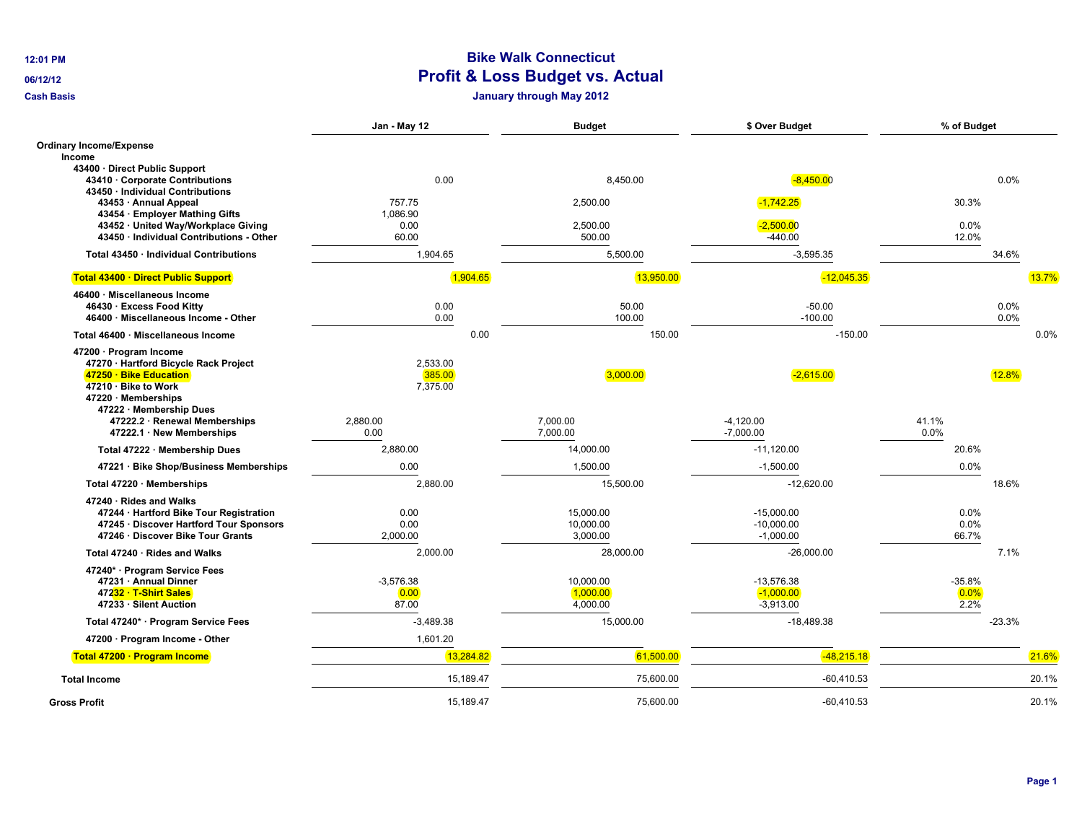## **12:01 PM Bike Walk Connecticut Profit & Loss Budget vs. Actual**

**Cash Basis January through May 2012**

|                                                                                                                                                                                                                                                                                              | Jan - May 12                                | <b>Budget</b>                              | \$ Over Budget                                         | % of Budget                 |              |       |
|----------------------------------------------------------------------------------------------------------------------------------------------------------------------------------------------------------------------------------------------------------------------------------------------|---------------------------------------------|--------------------------------------------|--------------------------------------------------------|-----------------------------|--------------|-------|
| <b>Ordinary Income/Expense</b><br>Income<br>43400 · Direct Public Support<br>43410 Corporate Contributions<br>43450 · Individual Contributions<br>43453 · Annual Appeal<br>43454 · Employer Mathing Gifts<br>43452 · United Way/Workplace Giving<br>43450 · Individual Contributions - Other | 0.00<br>757.75<br>1,086.90<br>0.00<br>60.00 | 8,450.00<br>2,500.00<br>2,500.00<br>500.00 | $-8,450.00$<br>$-1,742.25$<br>$-2,500.00$<br>$-440.00$ | 30.3%<br>0.0%<br>12.0%      | 0.0%         |       |
| Total 43450 · Individual Contributions                                                                                                                                                                                                                                                       | 1,904.65                                    | 5,500.00                                   | $-3,595.35$                                            |                             | 34.6%        |       |
| Total 43400 · Direct Public Support                                                                                                                                                                                                                                                          | 1,904.65                                    | 13,950.00                                  | $-12,045.35$                                           |                             |              | 13.7% |
| 46400 · Miscellaneous Income<br>46430 · Excess Food Kitty<br>46400 · Miscellaneous Income - Other                                                                                                                                                                                            | 0.00<br>0.00                                | 50.00<br>100.00                            | $-50.00$<br>$-100.00$                                  |                             | 0.0%<br>0.0% | 0.0%  |
| Total 46400 · Miscellaneous Income                                                                                                                                                                                                                                                           | 0.00                                        | 150.00                                     | $-150.00$                                              |                             |              |       |
| 47200 · Program Income<br>47270 · Hartford Bicycle Rack Project<br>47250 · Bike Education<br>47210 · Bike to Work<br>47220 Memberships<br>47222 · Membership Dues                                                                                                                            | 2,533.00<br>385.00<br>7,375.00              | 3,000.00                                   | $-2,615.00$                                            |                             | 12.8%        |       |
| 47222.2 · Renewal Memberships<br>47222.1 · New Memberships                                                                                                                                                                                                                                   | 2,880.00<br>0.00                            | 7,000.00<br>7,000.00                       | $-4,120.00$<br>$-7,000.00$                             | 41.1%<br>0.0%               |              |       |
| Total 47222 · Membership Dues                                                                                                                                                                                                                                                                | 2,880.00                                    | 14,000.00                                  | $-11,120.00$                                           | 20.6%                       |              |       |
| 47221 · Bike Shop/Business Memberships                                                                                                                                                                                                                                                       | 0.00                                        | 1,500.00                                   | $-1,500.00$                                            | 0.0%                        |              |       |
| Total 47220 · Memberships                                                                                                                                                                                                                                                                    | 2,880.00                                    | 15,500.00                                  | $-12,620.00$                                           |                             | 18.6%        |       |
| 47240 · Rides and Walks<br>47244 · Hartford Bike Tour Registration<br>47245 · Discover Hartford Tour Sponsors<br>47246 · Discover Bike Tour Grants                                                                                                                                           | 0.00<br>0.00<br>2,000.00                    | 15.000.00<br>10.000.00<br>3,000.00         | $-15.000.00$<br>$-10.000.00$<br>$-1,000.00$            | 0.0%<br>0.0%<br>66.7%       |              |       |
| Total 47240 · Rides and Walks                                                                                                                                                                                                                                                                | 2,000.00                                    | 28,000.00                                  | $-26,000.00$                                           |                             | 7.1%         |       |
| 47240* · Program Service Fees<br>47231 · Annual Dinner<br>47232 · T-Shirt Sales<br>47233 · Silent Auction                                                                                                                                                                                    | $-3,576.38$<br>0.00<br>87.00                | 10,000.00<br>1,000.00<br>4,000.00          | $-13,576.38$<br>$-1,000.00$<br>$-3,913.00$             | $-35.8%$<br>$0.0\%$<br>2.2% |              |       |
| Total 47240* · Program Service Fees                                                                                                                                                                                                                                                          | $-3,489.38$                                 | 15,000.00                                  | $-18,489.38$                                           |                             | $-23.3%$     |       |
| 47200 · Program Income - Other                                                                                                                                                                                                                                                               | 1,601.20                                    |                                            |                                                        |                             |              |       |
| Total 47200 · Program Income                                                                                                                                                                                                                                                                 | 13,284.82                                   | 61,500.00                                  | $-48,215.18$                                           |                             |              | 21.6% |
| <b>Total Income</b>                                                                                                                                                                                                                                                                          | 15,189.47                                   | 75,600.00                                  | $-60,410.53$                                           |                             |              | 20.1% |
| <b>Gross Profit</b>                                                                                                                                                                                                                                                                          | 15,189.47                                   | 75,600.00                                  | $-60,410.53$                                           |                             |              | 20.1% |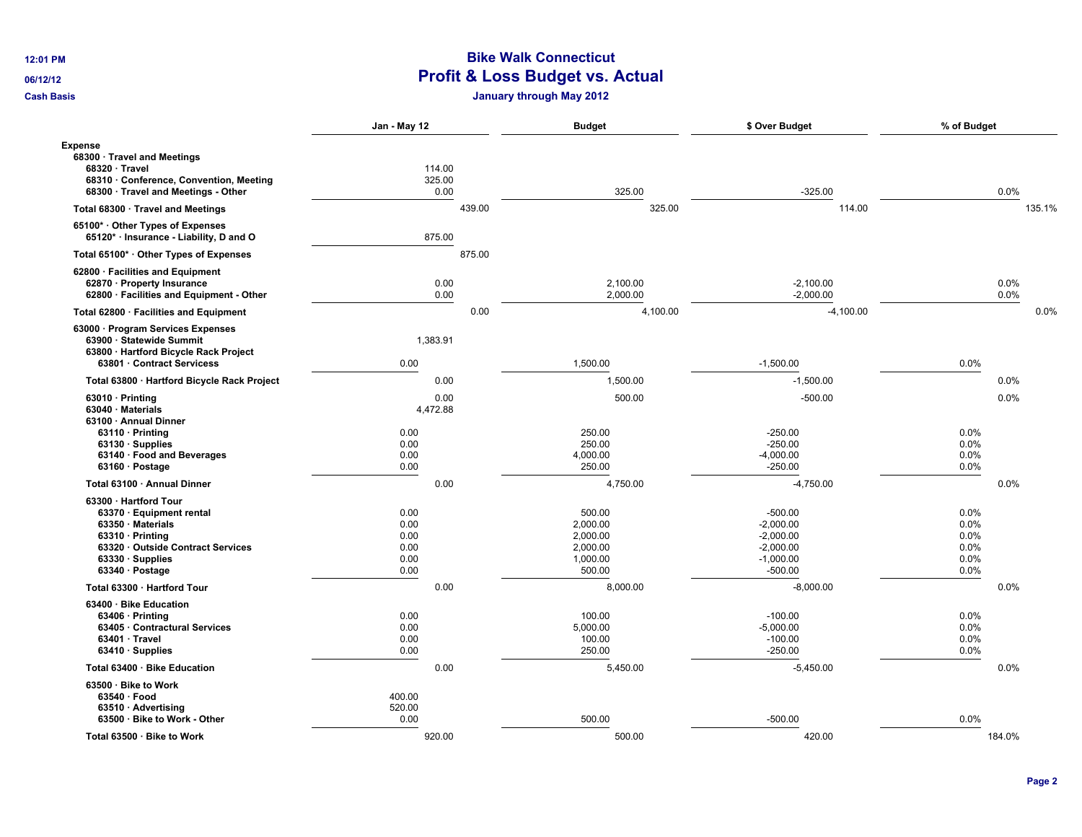## **12:01 PM Bike Walk Connecticut Profit & Loss Budget vs. Actual**

**Cash Basis January through May 2012**

|                                                                                                                                                                                           | Jan - May 12                                 |                          | <b>Budget</b>                                                    | \$ Over Budget                                                                     | % of Budget                                  |              |
|-------------------------------------------------------------------------------------------------------------------------------------------------------------------------------------------|----------------------------------------------|--------------------------|------------------------------------------------------------------|------------------------------------------------------------------------------------|----------------------------------------------|--------------|
| <b>Expense</b><br>68300 · Travel and Meetings<br>68320 · Travel<br>68310 · Conference, Convention, Meeting<br>68300 · Travel and Meetings - Other                                         |                                              | 114.00<br>325.00<br>0.00 | 325.00                                                           | $-325.00$                                                                          |                                              | 0.0%         |
| Total 68300 · Travel and Meetings                                                                                                                                                         |                                              | 439.00                   | 325.00                                                           | 114.00                                                                             |                                              | 135.1%       |
| 65100* Other Types of Expenses<br>65120* · Insurance - Liability, D and O                                                                                                                 |                                              | 875.00                   |                                                                  |                                                                                    |                                              |              |
| Total 65100* · Other Types of Expenses                                                                                                                                                    |                                              | 875.00                   |                                                                  |                                                                                    |                                              |              |
| 62800 · Facilities and Equipment<br>62870 · Property Insurance<br>62800 · Facilities and Equipment - Other                                                                                |                                              | 0.00<br>0.00             | 2.100.00<br>2,000.00                                             | $-2.100.00$<br>$-2,000.00$                                                         |                                              | 0.0%<br>0.0% |
| Total 62800 · Facilities and Equipment                                                                                                                                                    |                                              | 0.00                     | 4,100.00                                                         | $-4,100.00$                                                                        |                                              | 0.0%         |
| 63000 · Program Services Expenses<br>63900 · Statewide Summit<br>63800 · Hartford Bicycle Rack Project<br>63801 · Contract Servicess                                                      | 0.00                                         | 1,383.91                 | 1,500.00                                                         | $-1,500.00$                                                                        | 0.0%                                         |              |
|                                                                                                                                                                                           |                                              | 0.00                     | 1,500.00                                                         | $-1,500.00$                                                                        |                                              | 0.0%         |
| Total 63800 · Hartford Bicycle Rack Project                                                                                                                                               |                                              |                          |                                                                  |                                                                                    |                                              |              |
| $63010 \cdot \text{Printing}$<br>63040 · Materials<br>63100 · Annual Dinner<br>$63110 \cdot \text{Printing}$<br>63130 · Supplies                                                          | 0.00<br>0.00                                 | 0.00<br>4,472.88         | 500.00<br>250.00<br>250.00                                       | $-500.00$<br>$-250.00$<br>$-250.00$                                                | 0.0%<br>$0.0\%$                              | 0.0%         |
| 63140 · Food and Beverages<br>63160 · Postage                                                                                                                                             | 0.00<br>0.00                                 |                          | 4,000.00<br>250.00                                               | $-4,000.00$<br>$-250.00$                                                           | 0.0%<br>0.0%                                 |              |
| Total 63100 · Annual Dinner                                                                                                                                                               |                                              | 0.00                     | 4,750.00                                                         | $-4,750.00$                                                                        |                                              | 0.0%         |
| 63300 · Hartford Tour<br>63370 · Equipment rental<br>63350 · Materials<br>$63310 \cdot \text{Printing}$<br>63320 · Outside Contract Services<br>$63330 \cdot$ Supplies<br>63340 · Postage | 0.00<br>0.00<br>0.00<br>0.00<br>0.00<br>0.00 |                          | 500.00<br>2,000.00<br>2,000.00<br>2,000.00<br>1.000.00<br>500.00 | $-500.00$<br>$-2,000.00$<br>$-2,000.00$<br>$-2,000.00$<br>$-1,000.00$<br>$-500.00$ | 0.0%<br>0.0%<br>0.0%<br>0.0%<br>0.0%<br>0.0% |              |
| Total 63300 · Hartford Tour                                                                                                                                                               |                                              | 0.00                     | 8,000.00                                                         | $-8,000.00$                                                                        |                                              | 0.0%         |
| 63400 · Bike Education<br>$63406 \cdot$ Printing<br>63405 · Contractural Services<br>$63401 \cdot$ Travel<br>63410 · Supplies                                                             | 0.00<br>0.00<br>0.00<br>0.00                 |                          | 100.00<br>5,000.00<br>100.00<br>250.00                           | $-100.00$<br>$-5,000.00$<br>$-100.00$<br>$-250.00$                                 | 0.0%<br>$0.0\%$<br>$0.0\%$<br>0.0%           |              |
| Total 63400 · Bike Education                                                                                                                                                              |                                              | 0.00                     | 5,450.00                                                         | $-5,450.00$                                                                        |                                              | 0.0%         |
| 63500 · Bike to Work<br>$63540 \cdot$ Food<br>$63510 \cdot$ Advertising<br>63500 · Bike to Work - Other                                                                                   | 400.00<br>520.00<br>0.00                     |                          | 500.00                                                           | $-500.00$                                                                          | 0.0%                                         |              |
| Total 63500 · Bike to Work                                                                                                                                                                |                                              | 920.00                   | 500.00                                                           | 420.00                                                                             |                                              | 184.0%       |